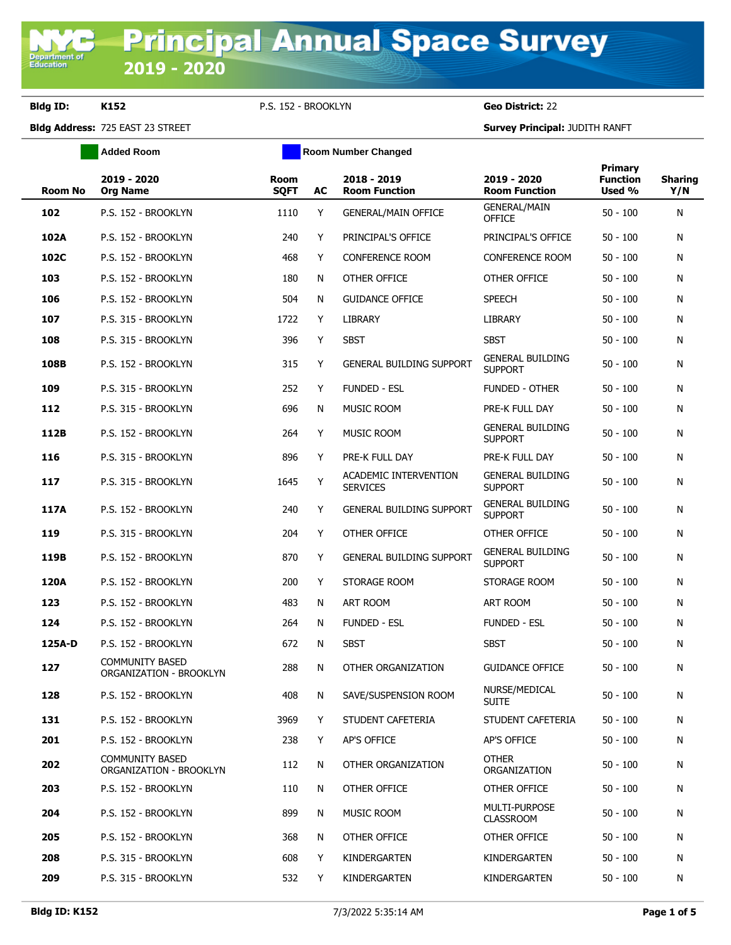Department of<br>Education

**Bldg ID: K152** P.S. 152 - BROOKLYN **Geo District:** 22

**Added Room Room Room Number Changed** 

**Bldg Address:** 725 EAST 23 STREET **Survey Principal:** JUDITH RANFT

| <b>Room No</b> | 2019 - 2020<br><b>Org Name</b>                    | Room<br><b>SQFT</b> | AC | 2018 - 2019<br><b>Room Function</b>             | 2019 - 2020<br><b>Room Function</b>       | Primary<br><b>Function</b><br>Used % | <b>Sharing</b><br>Y/N |
|----------------|---------------------------------------------------|---------------------|----|-------------------------------------------------|-------------------------------------------|--------------------------------------|-----------------------|
| 102            | P.S. 152 - BROOKLYN                               | 1110                | Y  | <b>GENERAL/MAIN OFFICE</b>                      | <b>GENERAL/MAIN</b><br><b>OFFICE</b>      | $50 - 100$                           | N                     |
| 102A           | P.S. 152 - BROOKLYN                               | 240                 | Y  | PRINCIPAL'S OFFICE                              | PRINCIPAL'S OFFICE                        | $50 - 100$                           | N                     |
| 102C           | P.S. 152 - BROOKLYN                               | 468                 | Y  | <b>CONFERENCE ROOM</b>                          | <b>CONFERENCE ROOM</b>                    | $50 - 100$                           | N                     |
| 103            | P.S. 152 - BROOKLYN                               | 180                 | N  | OTHER OFFICE                                    | OTHER OFFICE                              | $50 - 100$                           | N                     |
| 106            | P.S. 152 - BROOKLYN                               | 504                 | N  | <b>GUIDANCE OFFICE</b>                          | <b>SPEECH</b>                             | $50 - 100$                           | N                     |
| 107            | P.S. 315 - BROOKLYN                               | 1722                | Y  | <b>LIBRARY</b>                                  | <b>LIBRARY</b>                            | $50 - 100$                           | N                     |
| 108            | P.S. 315 - BROOKLYN                               | 396                 | Y  | <b>SBST</b>                                     | <b>SBST</b>                               | $50 - 100$                           | N                     |
| 108B           | P.S. 152 - BROOKLYN                               | 315                 | Y  | <b>GENERAL BUILDING SUPPORT</b>                 | <b>GENERAL BUILDING</b><br><b>SUPPORT</b> | $50 - 100$                           | N                     |
| 109            | P.S. 315 - BROOKLYN                               | 252                 | Y  | <b>FUNDED - ESL</b>                             | <b>FUNDED - OTHER</b>                     | $50 - 100$                           | N                     |
| 112            | P.S. 315 - BROOKLYN                               | 696                 | N  | MUSIC ROOM                                      | PRE-K FULL DAY                            | $50 - 100$                           | N                     |
| 112B           | P.S. 152 - BROOKLYN                               | 264                 | Y  | MUSIC ROOM                                      | <b>GENERAL BUILDING</b><br><b>SUPPORT</b> | $50 - 100$                           | N                     |
| 116            | P.S. 315 - BROOKLYN                               | 896                 | Y  | PRE-K FULL DAY                                  | PRE-K FULL DAY                            | $50 - 100$                           | N                     |
| 117            | P.S. 315 - BROOKLYN                               | 1645                | Υ  | <b>ACADEMIC INTERVENTION</b><br><b>SERVICES</b> | <b>GENERAL BUILDING</b><br><b>SUPPORT</b> | $50 - 100$                           | N                     |
| 117A           | P.S. 152 - BROOKLYN                               | 240                 | Y  | <b>GENERAL BUILDING SUPPORT</b>                 | <b>GENERAL BUILDING</b><br><b>SUPPORT</b> | $50 - 100$                           | N                     |
| 119            | P.S. 315 - BROOKLYN                               | 204                 | Y  | OTHER OFFICE                                    | OTHER OFFICE                              | $50 - 100$                           | N                     |
| 119B           | P.S. 152 - BROOKLYN                               | 870                 | Y  | <b>GENERAL BUILDING SUPPORT</b>                 | <b>GENERAL BUILDING</b><br><b>SUPPORT</b> | $50 - 100$                           | N                     |
| 120A           | P.S. 152 - BROOKLYN                               | 200                 | Y  | STORAGE ROOM                                    | STORAGE ROOM                              | $50 - 100$                           | N                     |
| 123            | P.S. 152 - BROOKLYN                               | 483                 | N  | ART ROOM                                        | ART ROOM                                  | $50 - 100$                           | N                     |
| 124            | P.S. 152 - BROOKLYN                               | 264                 | N  | <b>FUNDED - ESL</b>                             | <b>FUNDED - ESL</b>                       | $50 - 100$                           | N                     |
| 125A-D         | P.S. 152 - BROOKLYN                               | 672                 | N  | <b>SBST</b>                                     | <b>SBST</b>                               | $50 - 100$                           | N                     |
| 127            | <b>COMMUNITY BASED</b><br>ORGANIZATION - BROOKLYN | 288                 | N  | OTHER ORGANIZATION                              | <b>GUIDANCE OFFICE</b>                    | $50 - 100$                           | N                     |
| 128            | P.S. 152 - BROOKLYN                               | 408                 | N  | SAVE/SUSPENSION ROOM                            | NURSE/MEDICAL<br><b>SUITE</b>             | $50 - 100$                           | N                     |
| 131            | P.S. 152 - BROOKLYN                               | 3969                | Y  | STUDENT CAFETERIA                               | STUDENT CAFETERIA                         | $50 - 100$                           | N                     |
| 201            | P.S. 152 - BROOKLYN                               | 238                 | Y  | AP'S OFFICE                                     | AP'S OFFICE                               | $50 - 100$                           | Ν                     |
| 202            | <b>COMMUNITY BASED</b><br>ORGANIZATION - BROOKLYN | 112                 | N  | OTHER ORGANIZATION                              | <b>OTHER</b><br>ORGANIZATION              | $50 - 100$                           | N                     |
| 203            | P.S. 152 - BROOKLYN                               | 110                 | N  | OTHER OFFICE                                    | OTHER OFFICE                              | $50 - 100$                           | N                     |
| 204            | P.S. 152 - BROOKLYN                               | 899                 | N  | MUSIC ROOM                                      | MULTI-PURPOSE<br><b>CLASSROOM</b>         | $50 - 100$                           | N                     |
| 205            | P.S. 152 - BROOKLYN                               | 368                 | N  | OTHER OFFICE                                    | OTHER OFFICE                              | $50 - 100$                           | N                     |
| 208            | P.S. 315 - BROOKLYN                               | 608                 | Y  | KINDERGARTEN                                    | KINDERGARTEN                              | $50 - 100$                           | N                     |
| 209            | P.S. 315 - BROOKLYN                               | 532                 | Y  | KINDERGARTEN                                    | KINDERGARTEN                              | $50 - 100$                           | N                     |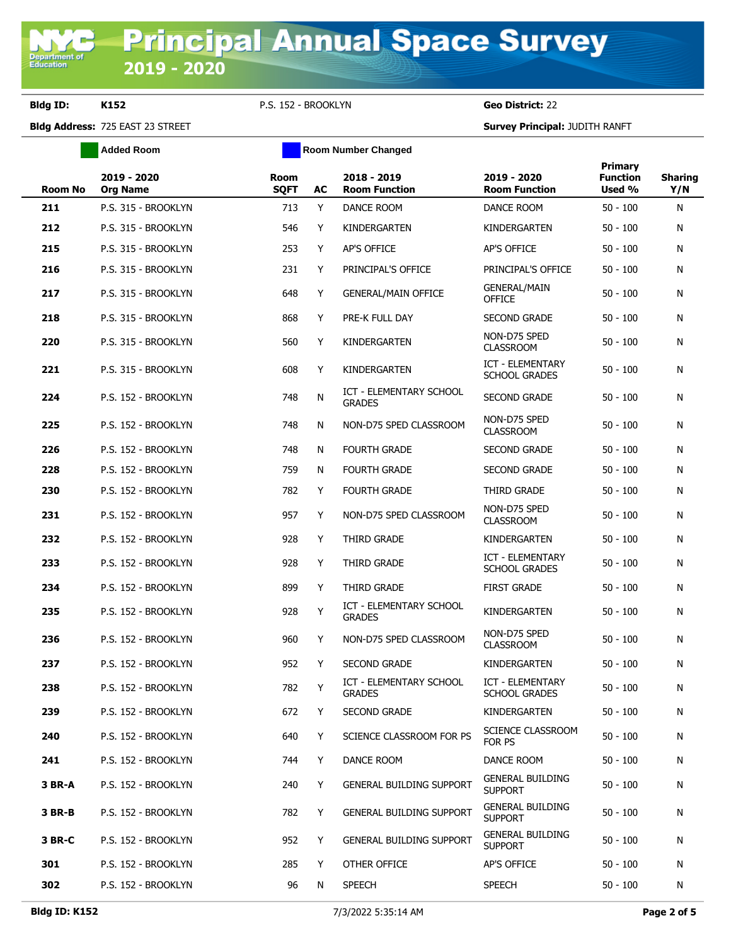**Bldg ID: K152** P.S. 152 - BROOKLYN **Geo District:** 22

**Added Room Room Room Number Changed** 

**Bldg Address:** 725 EAST 23 STREET **Survey Principal:** JUDITH RANFT

| <b>Room No</b> | 2019 - 2020<br><b>Org Name</b> | <b>Room</b><br><b>SQFT</b> | AC | 2018 - 2019<br><b>Room Function</b>             | 2019 - 2020<br><b>Room Function</b>             | Primary<br><b>Function</b><br>Used % | <b>Sharing</b><br>Y/N |
|----------------|--------------------------------|----------------------------|----|-------------------------------------------------|-------------------------------------------------|--------------------------------------|-----------------------|
| 211            | P.S. 315 - BROOKLYN            | 713                        | Y  | DANCE ROOM                                      | DANCE ROOM                                      | $50 - 100$                           | N                     |
| 212            | P.S. 315 - BROOKLYN            | 546                        | Y  | KINDERGARTEN                                    | KINDERGARTEN                                    | $50 - 100$                           | N                     |
| 215            | P.S. 315 - BROOKLYN            | 253                        | Y  | AP'S OFFICE                                     | AP'S OFFICE                                     | $50 - 100$                           | N                     |
| 216            | P.S. 315 - BROOKLYN            | 231                        | Y  | PRINCIPAL'S OFFICE                              | PRINCIPAL'S OFFICE                              | $50 - 100$                           | N                     |
| 217            | P.S. 315 - BROOKLYN            | 648                        | Y  | <b>GENERAL/MAIN OFFICE</b>                      | <b>GENERAL/MAIN</b><br>OFFICE                   | $50 - 100$                           | N                     |
| 218            | P.S. 315 - BROOKLYN            | 868                        | Y  | PRE-K FULL DAY                                  | <b>SECOND GRADE</b>                             | $50 - 100$                           | N                     |
| 220            | P.S. 315 - BROOKLYN            | 560                        | Y  | KINDERGARTEN                                    | NON-D75 SPED<br><b>CLASSROOM</b>                | $50 - 100$                           | N                     |
| 221            | P.S. 315 - BROOKLYN            | 608                        | Y  | KINDERGARTEN                                    | ICT - ELEMENTARY<br><b>SCHOOL GRADES</b>        | $50 - 100$                           | N                     |
| 224            | P.S. 152 - BROOKLYN            | 748                        | N  | <b>ICT - ELEMENTARY SCHOOL</b><br><b>GRADES</b> | <b>SECOND GRADE</b>                             | $50 - 100$                           | N                     |
| 225            | P.S. 152 - BROOKLYN            | 748                        | N  | NON-D75 SPED CLASSROOM                          | NON-D75 SPED<br><b>CLASSROOM</b>                | $50 - 100$                           | N                     |
| 226            | P.S. 152 - BROOKLYN            | 748                        | N  | <b>FOURTH GRADE</b>                             | <b>SECOND GRADE</b>                             | $50 - 100$                           | N                     |
| 228            | P.S. 152 - BROOKLYN            | 759                        | N  | <b>FOURTH GRADE</b>                             | <b>SECOND GRADE</b>                             | $50 - 100$                           | N                     |
| 230            | P.S. 152 - BROOKLYN            | 782                        | Y  | <b>FOURTH GRADE</b>                             | <b>THIRD GRADE</b>                              | $50 - 100$                           | N                     |
| 231            | P.S. 152 - BROOKLYN            | 957                        | Y  | NON-D75 SPED CLASSROOM                          | NON-D75 SPED<br><b>CLASSROOM</b>                | $50 - 100$                           | N                     |
| 232            | P.S. 152 - BROOKLYN            | 928                        | Y  | THIRD GRADE                                     | KINDERGARTEN                                    | $50 - 100$                           | N                     |
| 233            | P.S. 152 - BROOKLYN            | 928                        | Y  | THIRD GRADE                                     | <b>ICT - ELEMENTARY</b><br><b>SCHOOL GRADES</b> | $50 - 100$                           | N                     |
| 234            | P.S. 152 - BROOKLYN            | 899                        | Y  | THIRD GRADE                                     | <b>FIRST GRADE</b>                              | $50 - 100$                           | N                     |
| 235            | P.S. 152 - BROOKLYN            | 928                        | Y  | ICT - ELEMENTARY SCHOOL<br><b>GRADES</b>        | KINDERGARTEN                                    | $50 - 100$                           | N                     |
| 236            | P.S. 152 - BROOKLYN            | 960                        | Y  | NON-D75 SPED CLASSROOM                          | NON-D75 SPED<br><b>CLASSROOM</b>                | $50 - 100$                           | N                     |
| 237            | P.S. 152 - BROOKLYN            | 952                        | Y  | <b>SECOND GRADE</b>                             | KINDERGARTEN                                    | $50 - 100$                           | N                     |
| 238            | P.S. 152 - BROOKLYN            | 782                        | Y  | <b>ICT - ELEMENTARY SCHOOL</b><br><b>GRADES</b> | ICT - ELEMENTARY<br><b>SCHOOL GRADES</b>        | $50 - 100$                           | N                     |
| 239            | P.S. 152 - BROOKLYN            | 672                        | Y  | <b>SECOND GRADE</b>                             | KINDERGARTEN                                    | $50 - 100$                           | N                     |
| 240            | P.S. 152 - BROOKLYN            | 640                        | Y  | SCIENCE CLASSROOM FOR PS                        | SCIENCE CLASSROOM<br>FOR PS                     | $50 - 100$                           | N                     |
| 241            | P.S. 152 - BROOKLYN            | 744                        | Y  | DANCE ROOM                                      | DANCE ROOM                                      | $50 - 100$                           | N                     |
| 3 BR-A         | P.S. 152 - BROOKLYN            | 240                        | Y  | <b>GENERAL BUILDING SUPPORT</b>                 | <b>GENERAL BUILDING</b><br><b>SUPPORT</b>       | $50 - 100$                           | N                     |
| <b>3 BR-B</b>  | P.S. 152 - BROOKLYN            | 782                        | Y  | <b>GENERAL BUILDING SUPPORT</b>                 | <b>GENERAL BUILDING</b><br><b>SUPPORT</b>       | $50 - 100$                           | N                     |
| 3 BR-C         | P.S. 152 - BROOKLYN            | 952                        | Y  | <b>GENERAL BUILDING SUPPORT</b>                 | <b>GENERAL BUILDING</b><br><b>SUPPORT</b>       | $50 - 100$                           | N                     |
| 301            | P.S. 152 - BROOKLYN            | 285                        | Y  | OTHER OFFICE                                    | AP'S OFFICE                                     | $50 - 100$                           | N                     |
| 302            | P.S. 152 - BROOKLYN            | 96                         | N  | <b>SPEECH</b>                                   | <b>SPEECH</b>                                   | $50 - 100$                           | N                     |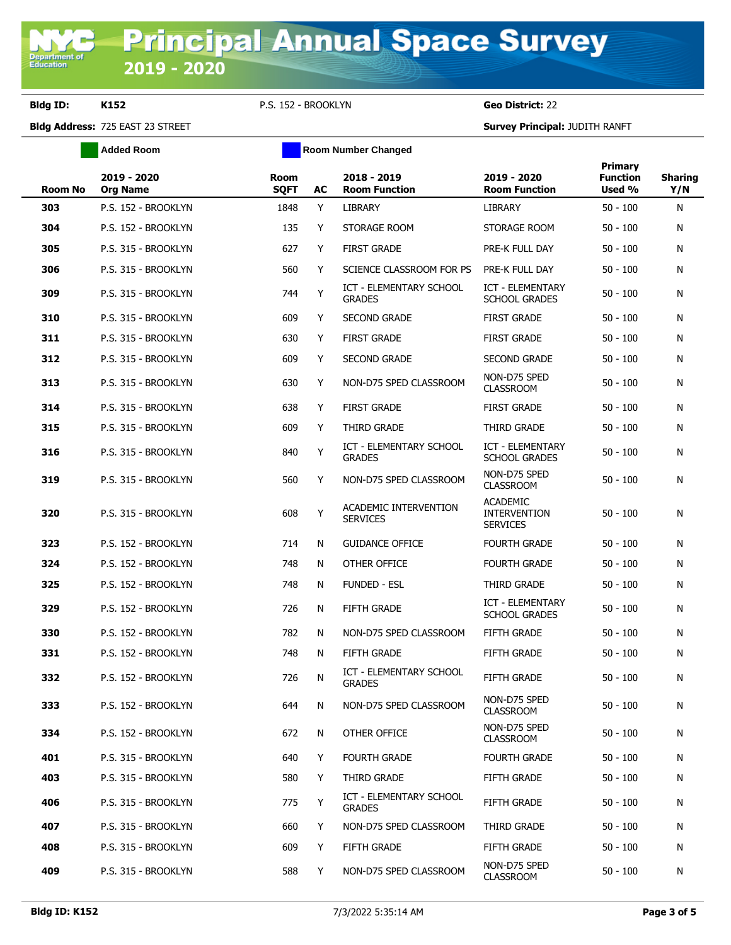**Bldg ID: K152** P.S. 152 - BROOKLYN **Geo District:** 22

**Added Room Room Room Number Changed** 

**Bldg Address:** 725 EAST 23 STREET **Survey Principal:** JUDITH RANFT

| <b>Room No</b> | 2019 - 2020<br><b>Org Name</b> | <b>Room</b><br><b>SQFT</b> | AC | 2018 - 2019<br><b>Room Function</b>             | 2019 - 2020<br><b>Room Function</b>                       | <b>Primary</b><br><b>Function</b><br>Used % | <b>Sharing</b><br>Y/N |
|----------------|--------------------------------|----------------------------|----|-------------------------------------------------|-----------------------------------------------------------|---------------------------------------------|-----------------------|
| 303            | P.S. 152 - BROOKLYN            | 1848                       | Y  | <b>LIBRARY</b>                                  | <b>LIBRARY</b>                                            | $50 - 100$                                  | N                     |
| 304            | P.S. 152 - BROOKLYN            | 135                        | Y  | STORAGE ROOM                                    | STORAGE ROOM                                              | $50 - 100$                                  | N                     |
| 305            | P.S. 315 - BROOKLYN            | 627                        | Y  | <b>FIRST GRADE</b>                              | PRE-K FULL DAY                                            | $50 - 100$                                  | N                     |
| 306            | P.S. 315 - BROOKLYN            | 560                        | Y  | SCIENCE CLASSROOM FOR PS                        | PRE-K FULL DAY                                            | $50 - 100$                                  | N                     |
| 309            | P.S. 315 - BROOKLYN            | 744                        | Y  | <b>ICT - ELEMENTARY SCHOOL</b><br><b>GRADES</b> | ICT - ELEMENTARY<br><b>SCHOOL GRADES</b>                  | $50 - 100$                                  | N                     |
| 310            | P.S. 315 - BROOKLYN            | 609                        | Y  | <b>SECOND GRADE</b>                             | <b>FIRST GRADE</b>                                        | $50 - 100$                                  | N                     |
| 311            | P.S. 315 - BROOKLYN            | 630                        | Y  | <b>FIRST GRADE</b>                              | <b>FIRST GRADE</b>                                        | $50 - 100$                                  | N                     |
| 312            | P.S. 315 - BROOKLYN            | 609                        | Y  | <b>SECOND GRADE</b>                             | <b>SECOND GRADE</b>                                       | $50 - 100$                                  | N                     |
| 313            | P.S. 315 - BROOKLYN            | 630                        | Y  | NON-D75 SPED CLASSROOM                          | NON-D75 SPED<br><b>CLASSROOM</b>                          | $50 - 100$                                  | Ν                     |
| 314            | P.S. 315 - BROOKLYN            | 638                        | Y  | <b>FIRST GRADE</b>                              | <b>FIRST GRADE</b>                                        | $50 - 100$                                  | N                     |
| 315            | P.S. 315 - BROOKLYN            | 609                        | Y  | THIRD GRADE                                     | THIRD GRADE                                               | $50 - 100$                                  | N                     |
| 316            | P.S. 315 - BROOKLYN            | 840                        | Y  | ICT - ELEMENTARY SCHOOL<br><b>GRADES</b>        | ICT - ELEMENTARY<br><b>SCHOOL GRADES</b>                  | $50 - 100$                                  | N                     |
| 319            | P.S. 315 - BROOKLYN            | 560                        | Y  | NON-D75 SPED CLASSROOM                          | NON-D75 SPED<br><b>CLASSROOM</b>                          | $50 - 100$                                  | N                     |
| 320            | P.S. 315 - BROOKLYN            | 608                        | Y  | ACADEMIC INTERVENTION<br><b>SERVICES</b>        | <b>ACADEMIC</b><br><b>INTERVENTION</b><br><b>SERVICES</b> | $50 - 100$                                  | N                     |
| 323            | P.S. 152 - BROOKLYN            | 714                        | N  | <b>GUIDANCE OFFICE</b>                          | <b>FOURTH GRADE</b>                                       | $50 - 100$                                  | Ν                     |
| 324            | P.S. 152 - BROOKLYN            | 748                        | N  | OTHER OFFICE                                    | <b>FOURTH GRADE</b>                                       | $50 - 100$                                  | N                     |
| 325            | P.S. 152 - BROOKLYN            | 748                        | N  | <b>FUNDED - ESL</b>                             | THIRD GRADE                                               | $50 - 100$                                  | N                     |
| 329            | P.S. 152 - BROOKLYN            | 726                        | N  | <b>FIFTH GRADE</b>                              | <b>ICT - ELEMENTARY</b><br><b>SCHOOL GRADES</b>           | $50 - 100$                                  | N                     |
| 330            | P.S. 152 - BROOKLYN            | 782                        | N  | NON-D75 SPED CLASSROOM                          | <b>FIFTH GRADE</b>                                        | $50 - 100$                                  | N                     |
| 331            | P.S. 152 - BROOKLYN            | 748                        | N  | <b>FIFTH GRADE</b>                              | FIFTH GRADE                                               | $50 - 100$                                  | N                     |
| 332            | P.S. 152 - BROOKLYN            | 726                        | N  | ICT - ELEMENTARY SCHOOL<br><b>GRADES</b>        | FIFTH GRADE                                               | $50 - 100$                                  | N                     |
| 333            | P.S. 152 - BROOKLYN            | 644                        | N  | NON-D75 SPED CLASSROOM                          | NON-D75 SPED<br><b>CLASSROOM</b>                          | $50 - 100$                                  | N                     |
| 334            | P.S. 152 - BROOKLYN            | 672                        | N  | OTHER OFFICE                                    | NON-D75 SPED<br><b>CLASSROOM</b>                          | $50 - 100$                                  | Ν                     |
| 401            | P.S. 315 - BROOKLYN            | 640                        | Y  | <b>FOURTH GRADE</b>                             | <b>FOURTH GRADE</b>                                       | $50 - 100$                                  | N                     |
| 403            | P.S. 315 - BROOKLYN            | 580                        | Y  | THIRD GRADE                                     | FIFTH GRADE                                               | $50 - 100$                                  | N                     |
| 406            | P.S. 315 - BROOKLYN            | 775                        | Υ  | <b>ICT - ELEMENTARY SCHOOL</b><br><b>GRADES</b> | FIFTH GRADE                                               | $50 - 100$                                  | Ν                     |
| 407            | P.S. 315 - BROOKLYN            | 660                        | Y  | NON-D75 SPED CLASSROOM                          | THIRD GRADE                                               | $50 - 100$                                  | N                     |
| 408            | P.S. 315 - BROOKLYN            | 609                        | Y  | FIFTH GRADE                                     | FIFTH GRADE                                               | $50 - 100$                                  | N                     |
| 409            | P.S. 315 - BROOKLYN            | 588                        | Y  | NON-D75 SPED CLASSROOM                          | NON-D75 SPED<br><b>CLASSROOM</b>                          | $50 - 100$                                  | N                     |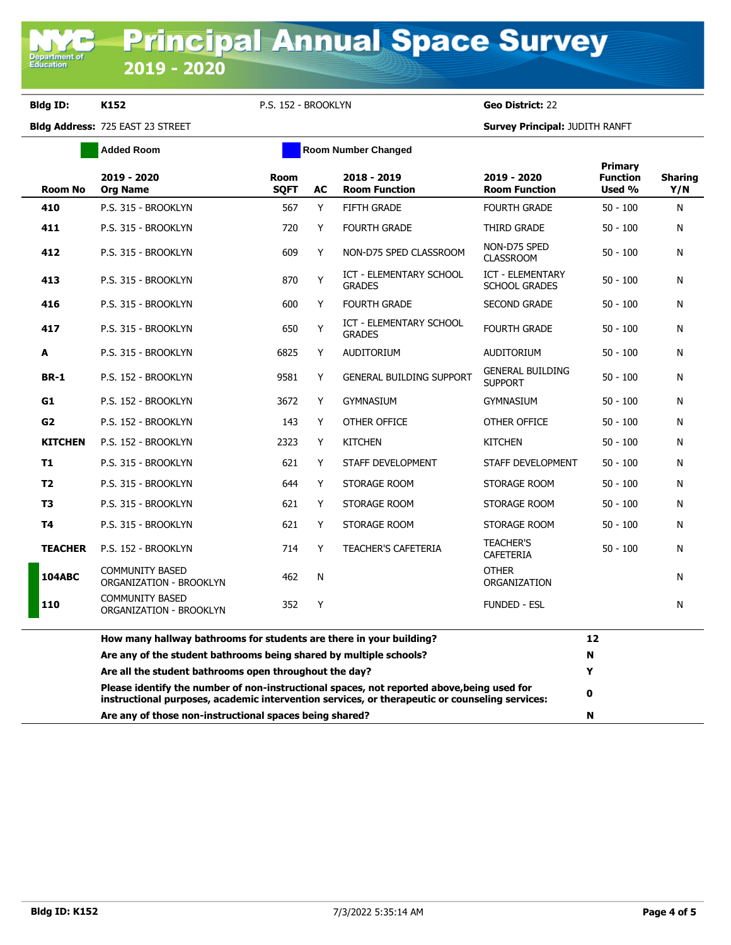**Bldg ID: K152** P.S. 152 - BROOKLYN **Geo District:** 22

**Bldg Address:** 725 EAST 23 STREET **Survey Principal:** JUDITH RANFT

|                | <b>Added Room</b>                                                                                                                                                                            | <b>Room Number Changed</b> |    |                                                 |                                                 |                                      |                       |
|----------------|----------------------------------------------------------------------------------------------------------------------------------------------------------------------------------------------|----------------------------|----|-------------------------------------------------|-------------------------------------------------|--------------------------------------|-----------------------|
| <b>Room No</b> | 2019 - 2020<br><b>Org Name</b>                                                                                                                                                               | <b>Room</b><br><b>SQFT</b> | AC | 2018 - 2019<br><b>Room Function</b>             | 2019 - 2020<br><b>Room Function</b>             | Primary<br><b>Function</b><br>Used % | <b>Sharing</b><br>Y/N |
| 410            | P.S. 315 - BROOKLYN                                                                                                                                                                          | 567                        | Y  | <b>FIFTH GRADE</b>                              | <b>FOURTH GRADE</b>                             | $50 - 100$                           | N                     |
| 411            | P.S. 315 - BROOKLYN                                                                                                                                                                          | 720                        | Y  | <b>FOURTH GRADE</b>                             | THIRD GRADE                                     | $50 - 100$                           | N                     |
| 412            | P.S. 315 - BROOKLYN                                                                                                                                                                          | 609                        | Y  | NON-D75 SPED CLASSROOM                          | NON-D75 SPED<br><b>CLASSROOM</b>                | $50 - 100$                           | N                     |
| 413            | P.S. 315 - BROOKLYN                                                                                                                                                                          | 870                        | Y  | ICT - ELEMENTARY SCHOOL<br><b>GRADES</b>        | <b>ICT - ELEMENTARY</b><br><b>SCHOOL GRADES</b> | $50 - 100$                           | N                     |
| 416            | P.S. 315 - BROOKLYN                                                                                                                                                                          | 600                        | Y  | <b>FOURTH GRADE</b>                             | <b>SECOND GRADE</b>                             | $50 - 100$                           | Ν                     |
| 417            | P.S. 315 - BROOKLYN                                                                                                                                                                          | 650                        | Y  | <b>ICT - ELEMENTARY SCHOOL</b><br><b>GRADES</b> | <b>FOURTH GRADE</b>                             | $50 - 100$                           | N                     |
| A              | P.S. 315 - BROOKLYN                                                                                                                                                                          | 6825                       | Y  | AUDITORIUM                                      | AUDITORIUM                                      | $50 - 100$                           | N                     |
| <b>BR-1</b>    | P.S. 152 - BROOKLYN                                                                                                                                                                          | 9581                       | Y  | <b>GENERAL BUILDING SUPPORT</b>                 | <b>GENERAL BUILDING</b><br><b>SUPPORT</b>       | $50 - 100$                           | N                     |
| G1             | P.S. 152 - BROOKLYN                                                                                                                                                                          | 3672                       | Y  | <b>GYMNASIUM</b>                                | <b>GYMNASIUM</b>                                | $50 - 100$                           | N                     |
| G <sub>2</sub> | P.S. 152 - BROOKLYN                                                                                                                                                                          | 143                        | Y  | OTHER OFFICE                                    | OTHER OFFICE                                    | $50 - 100$                           | N                     |
| <b>KITCHEN</b> | P.S. 152 - BROOKLYN                                                                                                                                                                          | 2323                       | Y  | <b>KITCHEN</b>                                  | <b>KITCHEN</b>                                  | $50 - 100$                           | N                     |
| T1             | P.S. 315 - BROOKLYN                                                                                                                                                                          | 621                        | Y  | STAFF DEVELOPMENT                               | STAFF DEVELOPMENT                               | $50 - 100$                           | N                     |
| T <sub>2</sub> | P.S. 315 - BROOKLYN                                                                                                                                                                          | 644                        | Y  | STORAGE ROOM                                    | STORAGE ROOM                                    | $50 - 100$                           | N                     |
| T <sub>3</sub> | P.S. 315 - BROOKLYN                                                                                                                                                                          | 621                        | Y  | STORAGE ROOM                                    | STORAGE ROOM                                    | $50 - 100$                           | N                     |
| T4             | P.S. 315 - BROOKLYN                                                                                                                                                                          | 621                        | Y  | STORAGE ROOM                                    | STORAGE ROOM                                    | $50 - 100$                           | N                     |
| <b>TEACHER</b> | P.S. 152 - BROOKLYN                                                                                                                                                                          | 714                        | Y  | <b>TEACHER'S CAFETERIA</b>                      | <b>TEACHER'S</b><br><b>CAFETERIA</b>            | $50 - 100$                           | N                     |
| <b>104ABC</b>  | <b>COMMUNITY BASED</b><br>ORGANIZATION - BROOKLYN                                                                                                                                            | 462                        | N  |                                                 | <b>OTHER</b><br>ORGANIZATION                    |                                      | N                     |
| 110            | <b>COMMUNITY BASED</b><br><b>ORGANIZATION - BROOKLYN</b>                                                                                                                                     | 352                        | Υ  |                                                 | <b>FUNDED - ESL</b>                             |                                      | N                     |
|                | How many hallway bathrooms for students are there in your building?                                                                                                                          |                            |    |                                                 |                                                 | 12                                   |                       |
|                | Are any of the student bathrooms being shared by multiple schools?                                                                                                                           |                            |    |                                                 |                                                 | N                                    |                       |
|                | Are all the student bathrooms open throughout the day?                                                                                                                                       |                            |    |                                                 |                                                 | Y                                    |                       |
|                | Please identify the number of non-instructional spaces, not reported above, being used for<br>instructional purposes, academic intervention services, or therapeutic or counseling services: |                            |    |                                                 |                                                 | 0                                    |                       |

**Are any of those non-instructional spaces being shared? N**